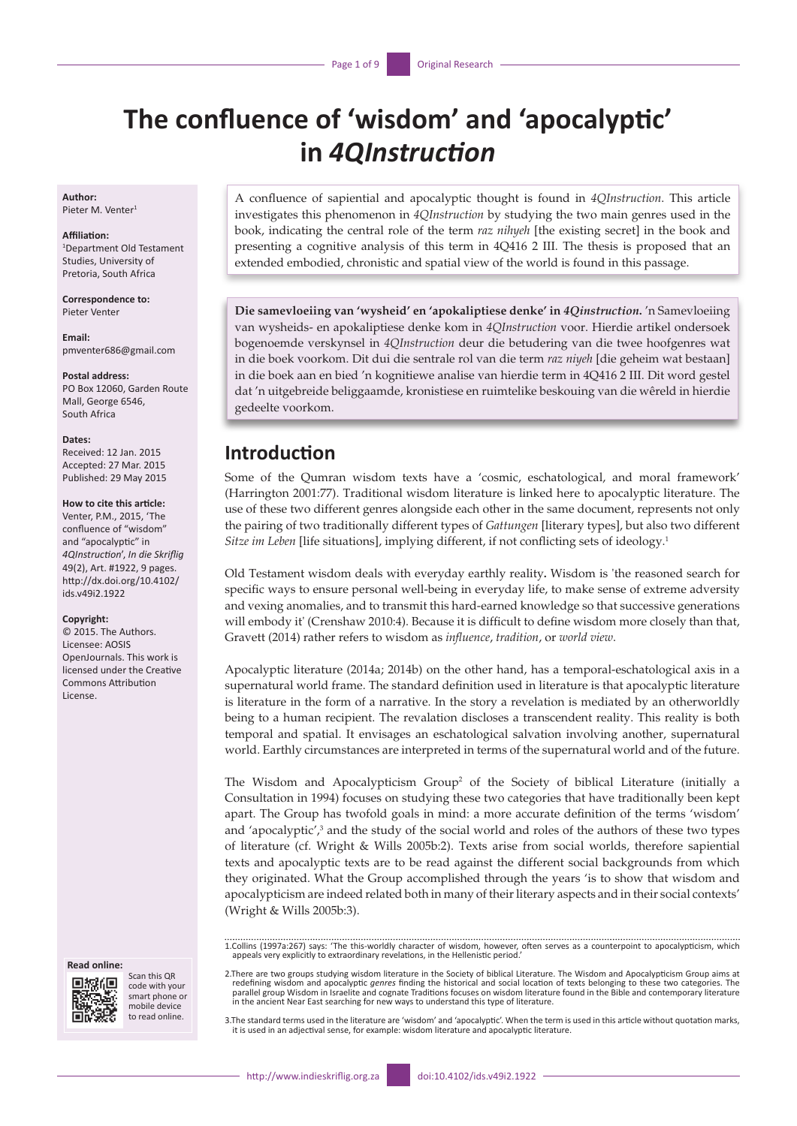# **The confluence of 'wisdom' and 'apocalyptic' in** *4QInstruction*

**Author:** Pieter M. Venter<sup>1</sup>

#### **Affiliation:**

1 Department Old Testament Studies, University of Pretoria, South Africa

**Correspondence to:** Pieter Venter

**Email:** [pmventer686@gmail.com](mailto:pmventer686@gmail.com
)

**Postal address:** PO Box 12060, Garden Route Mall, George 6546, South Africa

#### **Dates:**

Received: 12 Jan. 2015 Accepted: 27 Mar. 2015 Published: 29 May 2015

### **How to cite this article:**

Venter, P.M., 2015, 'The confluence of "wisdom" and "apocalyptic" in *4QInstruction*', *In die Skriflig* 49(2), Art. #1922, 9 pages. [http://dx.doi.org/10.4102/](http://dx.doi.org/10.4102/ids.v49i2.1922) [ids.v49i2.1922](http://dx.doi.org/10.4102/ids.v49i2.1922)

#### **Copyright:**

© 2015. The Authors. Licensee: AOSIS OpenJournals. This work is licensed under the Creative Commons Attribution License.

#### **Read online:**



Scan this QR code with your smart phone or mobile device to read online.

A confluence of sapiential and apocalyptic thought is found in *4QInstruction*. This article investigates this phenomenon in *4QInstruction* by studying the two main genres used in the book, indicating the central role of the term *raz nihyeh* [the existing secret] in the book and presenting a cognitive analysis of this term in 4Q416 2 III. The thesis is proposed that an extended embodied, chronistic and spatial view of the world is found in this passage.

**Die samevloeiing van 'wysheid' en 'apokaliptiese denke' in** *4Qinstruction***.** 'n Samevloeiing van wysheids- en apokaliptiese denke kom in *4QInstruction* voor. Hierdie artikel ondersoek bogenoemde verskynsel in *4QInstruction* deur die betudering van die twee hoofgenres wat in die boek voorkom. Dit dui die sentrale rol van die term *raz niyeh* [die geheim wat bestaan] in die boek aan en bied 'n kognitiewe analise van hierdie term in 4Q416 2 III. Dit word gestel dat 'n uitgebreide beliggaamde, kronistiese en ruimtelike beskouing van die wêreld in hierdie gedeelte voorkom.

### **Introduction**

Some of the Qumran wisdom texts have a 'cosmic, eschatological, and moral framework' (Harrington 2001:77). Traditional wisdom literature is linked here to apocalyptic literature. The use of these two different genres alongside each other in the same document, represents not only the pairing of two traditionally different types of *Gattungen* [literary types], but also two different *Sitze im Leben* [life situations], implying different, if not conflicting sets of ideology.<sup>1</sup>

Old Testament wisdom deals with everyday earthly reality**.** Wisdom is 'the reasoned search for specific ways to ensure personal well-being in everyday life, to make sense of extreme adversity and vexing anomalies, and to transmit this hard-earned knowledge so that successive generations will embody it' (Crenshaw 2010:4). Because it is difficult to define wisdom more closely than that, Gravett (2014) rather refers to wisdom as *influence*, *tradition*, or *world view*.

Apocalyptic literature (2014a; 2014b) on the other hand, has a temporal-eschatological axis in a supernatural world frame. The standard definition used in literature is that apocalyptic literature is literature in the form of a narrative. In the story a revelation is mediated by an otherworldly being to a human recipient. The revalation discloses a transcendent reality. This reality is both temporal and spatial. It envisages an eschatological salvation involving another, supernatural world. Earthly circumstances are interpreted in terms of the supernatural world and of the future.

The Wisdom and Apocalypticism Group<sup>2</sup> of the Society of biblical Literature (initially a Consultation in 1994) focuses on studying these two categories that have traditionally been kept apart. The Group has twofold goals in mind: a more accurate definition of the terms 'wisdom' and 'apocalyptic',<sup>3</sup> and the study of the social world and roles of the authors of these two types of literature (cf. Wright & Wills 2005b:2). Texts arise from social worlds, therefore sapiential texts and apocalyptic texts are to be read against the different social backgrounds from which they originated. What the Group accomplished through the years 'is to show that wisdom and apocalypticism are indeed related both in many of their literary aspects and in their social contexts' (Wright & Wills 2005b:3).

1.Collins (1997a:267) says: 'The this-worldly character of wisdom, however, often serves as a counterpoint to apocalypticism, which appeals very explicitly to extraordinary revelations, in the Hellenistic period.'

2.There are two groups studying wisdom literature in the Society of biblical Literature. The Wisdom and Apocalypticism Group aims at redefining wisdom and apocalyptic *genres* finding the historical and social location of texts belonging to these two categories. The<br>parallel group Wisdom in Israelite and cognate Traditions focuses on wisdom literature f

3.The standard terms used in the literature are 'wisdom' and 'apocalyptic'. When the term is used in this article without quotation marks, it is used in an adjectival sense, for example: wisdom literature and apocalyptic literature.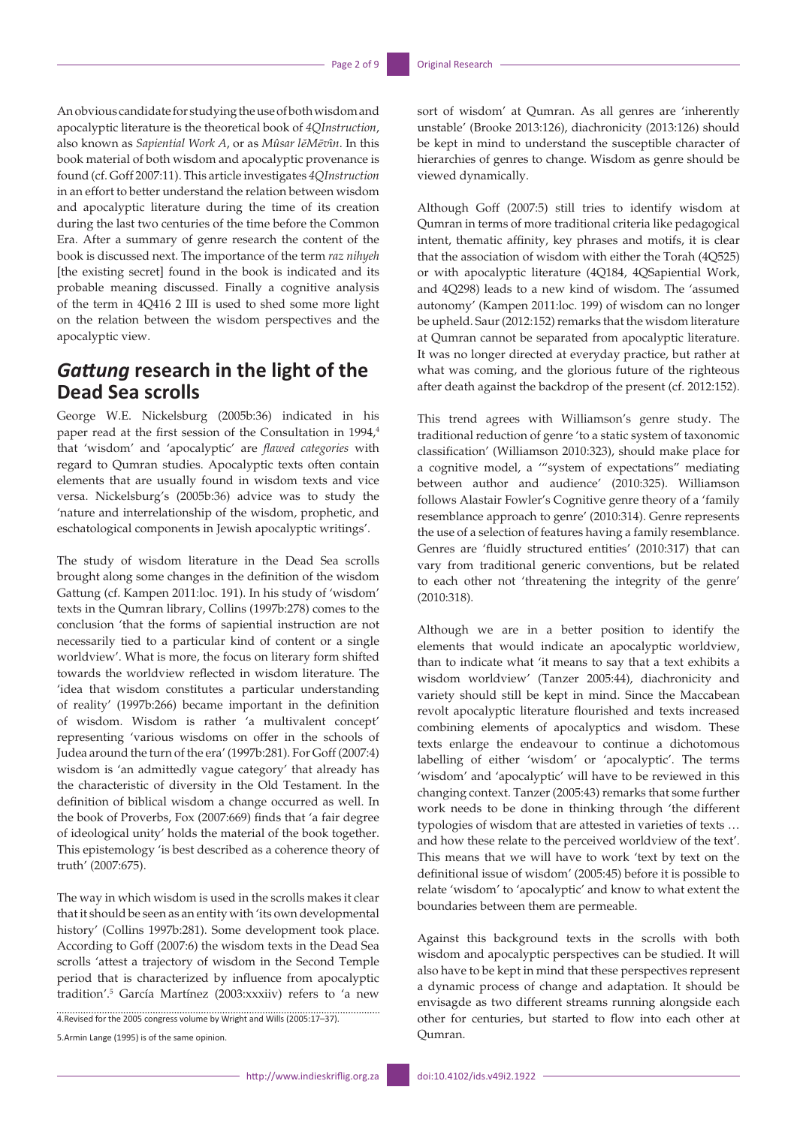An obvious candidate for studying the use of both wisdom and apocalyptic literature is the theoretical book of *4QInstruction*, also known as *Sapiential Work A*, or as *Mûsar lĕMēv*î*n*. In this book material of both wisdom and apocalyptic provenance is found (cf. Goff 2007:11). This article investigates *4QInstruction* in an effort to better understand the relation between wisdom and apocalyptic literature during the time of its creation during the last two centuries of the time before the Common Era. After a summary of genre research the content of the book is discussed next. The importance of the term *raz nihyeh* [the existing secret] found in the book is indicated and its probable meaning discussed. Finally a cognitive analysis of the term in 4Q416 2 III is used to shed some more light on the relation between the wisdom perspectives and the apocalyptic view.

# *Gattung* **research in the light of the Dead Sea scrolls**

George W.E. Nickelsburg (2005b:36) indicated in his paper read at the first session of the Consultation in 1994,<sup>4</sup> that 'wisdom' and 'apocalyptic' are *flawed categories* with regard to Qumran studies. Apocalyptic texts often contain elements that are usually found in wisdom texts and vice versa. Nickelsburg's (2005b:36) advice was to study the 'nature and interrelationship of the wisdom, prophetic, and eschatological components in Jewish apocalyptic writings'.

The study of wisdom literature in the Dead Sea scrolls brought along some changes in the definition of the wisdom Gattung (cf. Kampen 2011:loc. 191). In his study of 'wisdom' texts in the Qumran library, Collins (1997b:278) comes to the conclusion 'that the forms of sapiential instruction are not necessarily tied to a particular kind of content or a single worldview'. What is more, the focus on literary form shifted towards the worldview reflected in wisdom literature. The 'idea that wisdom constitutes a particular understanding of reality' (1997b:266) became important in the definition of wisdom. Wisdom is rather 'a multivalent concept' representing 'various wisdoms on offer in the schools of Judea around the turn of the era' (1997b:281). For Goff (2007:4) wisdom is 'an admittedly vague category' that already has the characteristic of diversity in the Old Testament. In the definition of biblical wisdom a change occurred as well. In the book of Proverbs, Fox (2007:669) finds that 'a fair degree of ideological unity' holds the material of the book together. This epistemology 'is best described as a coherence theory of truth' (2007:675).

The way in which wisdom is used in the scrolls makes it clear that it should be seen as an entity with 'its own developmental history' (Collins 1997b:281). Some development took place. According to Goff (2007:6) the wisdom texts in the Dead Sea scrolls 'attest a trajectory of wisdom in the Second Temple period that is characterized by influence from apocalyptic tradition'.5 García Martínez (2003:xxxiiv) refers to 'a new

4.Revised for the 2005 congress volume by Wright and Wills (2005:17–37).

5.Armin Lange (1995) is of the same opinion.

sort of wisdom' at Qumran. As all genres are 'inherently unstable' (Brooke 2013:126), diachronicity (2013:126) should be kept in mind to understand the susceptible character of hierarchies of genres to change. Wisdom as genre should be viewed dynamically.

Although Goff (2007:5) still tries to identify wisdom at Qumran in terms of more traditional criteria like pedagogical intent, thematic affinity, key phrases and motifs, it is clear that the association of wisdom with either the Torah (4Q525) or with apocalyptic literature (4Q184, 4QSapiential Work, and 4Q298) leads to a new kind of wisdom. The 'assumed autonomy' (Kampen 2011:loc. 199) of wisdom can no longer be upheld. Saur (2012:152) remarks that the wisdom literature at Qumran cannot be separated from apocalyptic literature. It was no longer directed at everyday practice, but rather at what was coming, and the glorious future of the righteous after death against the backdrop of the present (cf. 2012:152).

This trend agrees with Williamson's genre study. The traditional reduction of genre 'to a static system of taxonomic classification' (Williamson 2010:323), should make place for a cognitive model, a '"system of expectations" mediating between author and audience' (2010:325). Williamson follows Alastair Fowler's Cognitive genre theory of a 'family resemblance approach to genre' (2010:314). Genre represents the use of a selection of features having a family resemblance. Genres are 'fluidly structured entities' (2010:317) that can vary from traditional generic conventions, but be related to each other not 'threatening the integrity of the genre' (2010:318).

Although we are in a better position to identify the elements that would indicate an apocalyptic worldview, than to indicate what 'it means to say that a text exhibits a wisdom worldview' (Tanzer 2005:44), diachronicity and variety should still be kept in mind. Since the Maccabean revolt apocalyptic literature flourished and texts increased combining elements of apocalyptics and wisdom. These texts enlarge the endeavour to continue a dichotomous labelling of either 'wisdom' or 'apocalyptic'. The terms 'wisdom' and 'apocalyptic' will have to be reviewed in this changing context. Tanzer (2005:43) remarks that some further work needs to be done in thinking through 'the different typologies of wisdom that are attested in varieties of texts … and how these relate to the perceived worldview of the text'. This means that we will have to work 'text by text on the definitional issue of wisdom' (2005:45) before it is possible to relate 'wisdom' to 'apocalyptic' and know to what extent the boundaries between them are permeable.

Against this background texts in the scrolls with both wisdom and apocalyptic perspectives can be studied. It will also have to be kept in mind that these perspectives represent a dynamic process of change and adaptation. It should be envisagde as two different streams running alongside each other for centuries, but started to flow into each other at Qumran.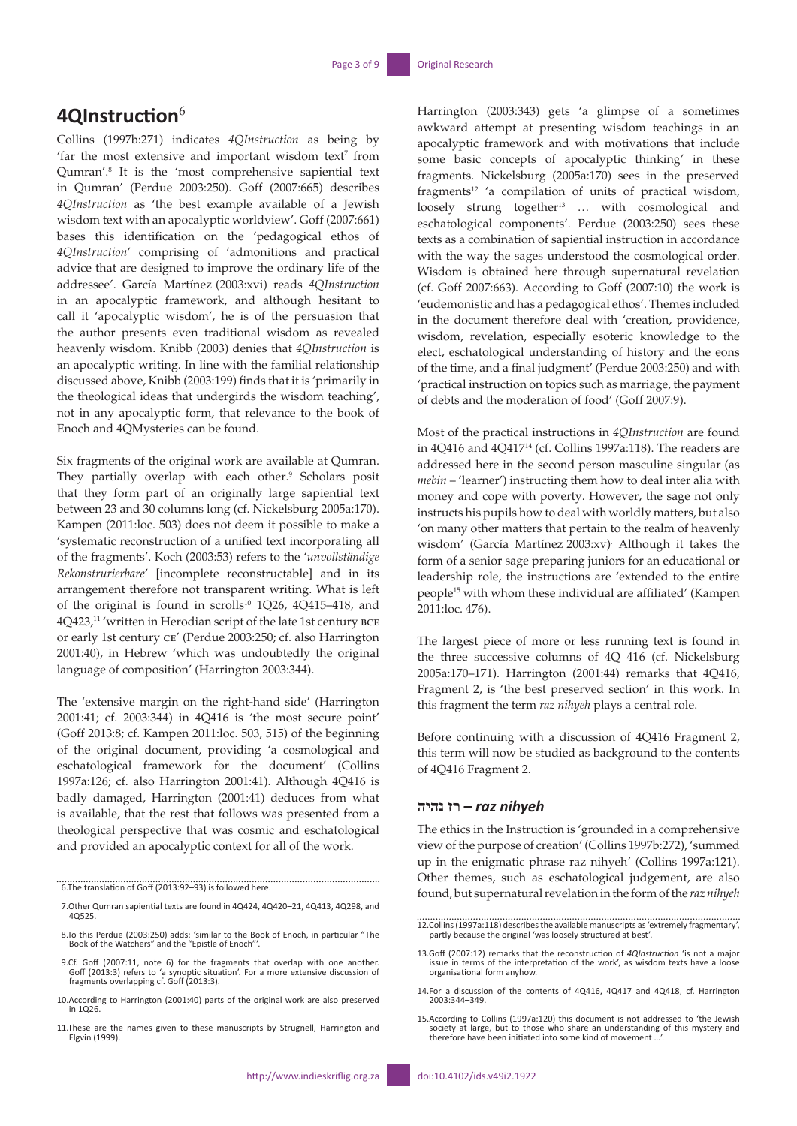# **4QInstruction**<sup>6</sup>

Collins (1997b:271) indicates *4QInstruction* as being by 'far the most extensive and important wisdom text<sup>7</sup> from Qumran'.<sup>8</sup> It is the 'most comprehensive sapiential text in Qumran' (Perdue 2003:250). Goff (2007:665) describes *4QInstruction* as 'the best example available of a Jewish wisdom text with an apocalyptic worldview'. Goff (2007:661) bases this identification on the 'pedagogical ethos of *4QInstruction*' comprising of 'admonitions and practical advice that are designed to improve the ordinary life of the addressee'. García Martínez (2003:xvi) reads *4QInstruction* in an apocalyptic framework, and although hesitant to call it 'apocalyptic wisdom', he is of the persuasion that the author presents even traditional wisdom as revealed heavenly wisdom. Knibb (2003) denies that *4QInstruction* is an apocalyptic writing. In line with the familial relationship discussed above, Knibb (2003:199) finds that it is 'primarily in the theological ideas that undergirds the wisdom teaching', not in any apocalyptic form, that relevance to the book of Enoch and 4QMysteries can be found.

Six fragments of the original work are available at Qumran. They partially overlap with each other.<sup>9</sup> Scholars posit that they form part of an originally large sapiential text between 23 and 30 columns long (cf. Nickelsburg 2005a:170). Kampen (2011:loc. 503) does not deem it possible to make a 'systematic reconstruction of a unified text incorporating all of the fragments'. Koch (2003:53) refers to the '*unvollständige Rekonstrurierbare*' [incomplete reconstructable] and in its arrangement therefore not transparent writing. What is left of the original is found in scrolls<sup>10</sup> 1Q26, 4Q415-418, and 4Q423,11 'written in Herodian script of the late 1st century bce or early 1st century ce' (Perdue 2003:250; cf. also Harrington 2001:40), in Hebrew 'which was undoubtedly the original language of composition' (Harrington 2003:344).

The 'extensive margin on the right-hand side' (Harrington 2001:41; cf. 2003:344) in 4Q416 is 'the most secure point' (Goff 2013:8; cf. Kampen 2011:loc. 503, 515) of the beginning of the original document, providing 'a cosmological and eschatological framework for the document' (Collins 1997a:126; cf. also Harrington 2001:41). Although 4Q416 is badly damaged, Harrington (2001:41) deduces from what is available, that the rest that follows was presented from a theological perspective that was cosmic and eschatological and provided an apocalyptic context for all of the work.

6.The translation of Goff (2013:92–93) is followed here.

- 7.Other Qumran sapiential texts are found in 4Q424, 4Q420–21, 4Q413, 4Q298, and 4Q525.
- 8.To this Perdue (2003:250) adds: 'similar to the Book of Enoch, in particular "The Book of the Watchers" and the "Epistle of Enoch"'
- 9.Cf. Goff (2007:11, note 6) for the fragments that overlap with one another. Goff (2013:3) refers to 'a synoptic situation'. For a more extensive discussion of fragments overlapping cf. Goff (2013:3).
- 10.According to Harrington (2001:40) parts of the original work are also preserved in 1Q26.
- 11.These are the names given to these manuscripts by Strugnell, Harrington and Elgvin (1999).

Harrington (2003:343) gets 'a glimpse of a sometimes awkward attempt at presenting wisdom teachings in an apocalyptic framework and with motivations that include some basic concepts of apocalyptic thinking' in these fragments. Nickelsburg (2005a:170) sees in the preserved fragments<sup>12</sup> 'a compilation of units of practical wisdom, loosely strung together<sup>13</sup> ... with cosmological and eschatological components'. Perdue (2003:250) sees these texts as a combination of sapiential instruction in accordance with the way the sages understood the cosmological order. Wisdom is obtained here through supernatural revelation (cf. Goff 2007:663). According to Goff (2007:10) the work is 'eudemonistic and has a pedagogical ethos'. Themes included in the document therefore deal with 'creation, providence, wisdom, revelation, especially esoteric knowledge to the elect, eschatological understanding of history and the eons of the time, and a final judgment' (Perdue 2003:250) and with 'practical instruction on topics such as marriage, the payment of debts and the moderation of food' (Goff 2007:9).

Most of the practical instructions in *4QInstruction* are found in 4Q416 and 4Q41714 (cf. Collins 1997a:118). The readers are addressed here in the second person masculine singular (as *mebin* – 'learner') instructing them how to deal inter alia with money and cope with poverty. However, the sage not only instructs his pupils how to deal with worldly matters, but also 'on many other matters that pertain to the realm of heavenly wisdom' (García Martínez 2003:xv). Although it takes the form of a senior sage preparing juniors for an educational or leadership role, the instructions are 'extended to the entire people15 with whom these individual are affiliated' (Kampen 2011:loc. 476).

The largest piece of more or less running text is found in the three successive columns of 4Q 416 (cf. Nickelsburg 2005a:170–171). Harrington (2001:44) remarks that 4Q416, Fragment 2, is 'the best preserved section' in this work. In this fragment the term *raz nihyeh* plays a central role.

Before continuing with a discussion of 4Q416 Fragment 2, this term will now be studied as background to the contents of 4Q416 Fragment 2.

### *nihyeh raz* **– רז נהיה**

The ethics in the Instruction is 'grounded in a comprehensive view of the purpose of creation' (Collins 1997b:272), 'summed up in the enigmatic phrase raz nihyeh' (Collins 1997a:121). Other themes, such as eschatological judgement, are also found, but supernatural revelation in the form of the *raz nihyeh*

<sup>12.</sup>Collins (1997a:118) describes the available manuscripts as 'extremely fragmentary', partly because the original 'was loosely structured at best'.

<sup>13.</sup>Goff (2007:12) remarks that the reconstruction of *4QInstruction* 'is not a major issue in terms of the interpretation of the work', as wisdom texts have a loose organisational form anyhow.

<sup>14.</sup>For a discussion of the contents of 4Q416, 4Q417 and 4Q418, cf. Harrington 2003:344–349.

<sup>15.</sup>According to Collins (1997a:120) this document is not addressed to 'the Jewish society at large, but to those who share an understanding of this mystery and therefore have been initiated into some kind of movement …'.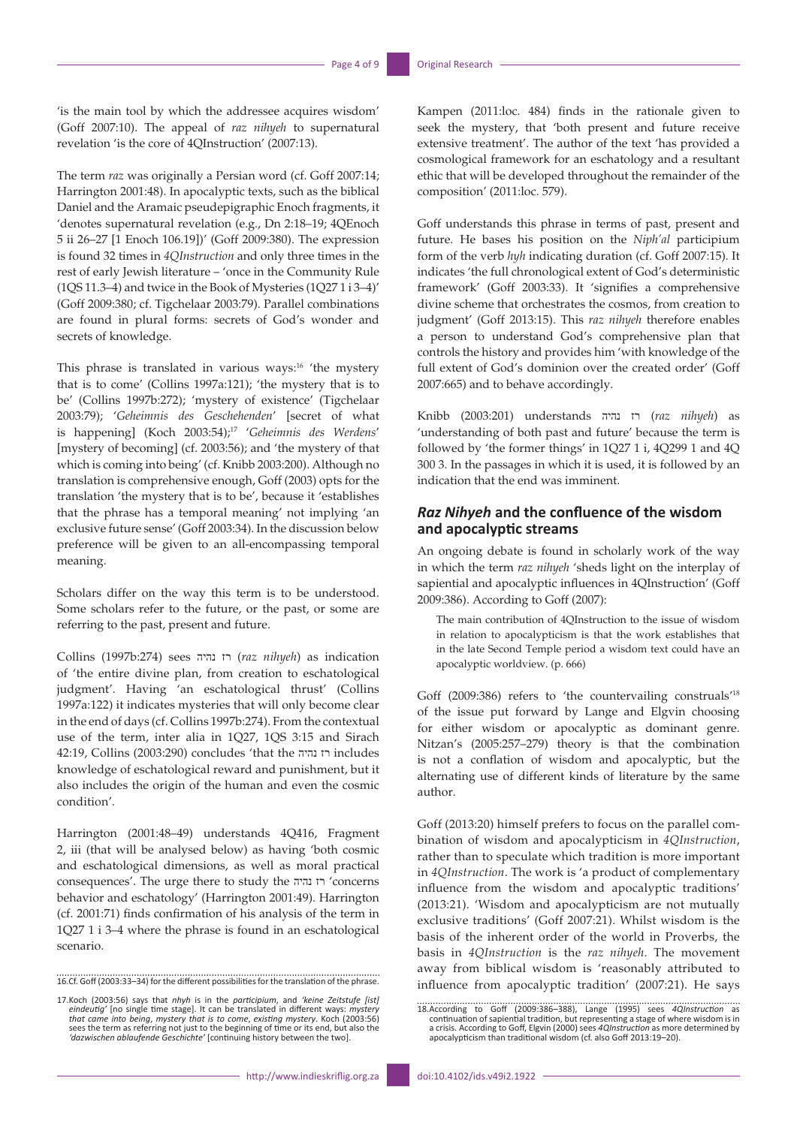'is the main tool by which the addressee acquires wisdom' (Goff 2007:10). The appeal of *raz nihyeh* to supernatural revelation 'is the core of 4QInstruction' (2007:13).

The term *raz* was originally a Persian word (cf. Goff 2007:14; Harrington 2001:48). In apocalyptic texts, such as the biblical Daniel and the Aramaic pseudepigraphic Enoch fragments, it 'denotes supernatural revelation (e.g., Dn 2:18–19; 4QEnoch 5 ii 26–27 [1 Enoch 106.19])' (Goff 2009:380). The expression is found 32 times in *4QInstruction* and only three times in the rest of early Jewish literature – 'once in the Community Rule (1QS 11.3–4) and twice in the Book of Mysteries (1Q27 1 i 3–4)' (Goff 2009:380; cf. Tigchelaar 2003:79). Parallel combinations are found in plural forms: secrets of God's wonder and secrets of knowledge.

This phrase is translated in various ways:<sup>16</sup> 'the mystery that is to come' (Collins 1997a:121); 'the mystery that is to be' (Collins 1997b:272); 'mystery of existence' (Tigchelaar 2003:79); '*Geheimnis des Geschehenden*' [secret of what is happening] (Koch 2003:54);17 '*Geheimnis des Werdens*' [mystery of becoming] (cf. 2003:56); and 'the mystery of that which is coming into being' (cf. Knibb 2003:200). Although no translation is comprehensive enough, Goff (2003) opts for the translation 'the mystery that is to be', because it 'establishes that the phrase has a temporal meaning' not implying 'an exclusive future sense' (Goff 2003:34). In the discussion below preference will be given to an all-encompassing temporal meaning.

Scholars differ on the way this term is to be understood. Some scholars refer to the future, or the past, or some are referring to the past, present and future.

Collins (1997b:274) sees נהיה רז) *raz nihyeh*) as indication of 'the entire divine plan, from creation to eschatological judgment'. Having 'an eschatological thrust' (Collins 1997a:122) it indicates mysteries that will only become clear in the end of days (cf. Collins 1997b:274). From the contextual use of the term, inter alia in 1Q27, 1QS 3:15 and Sirach 42:19, Collins (2003:290) concludes 'that the נהיה רז includes knowledge of eschatological reward and punishment, but it also includes the origin of the human and even the cosmic condition'.

Harrington (2001:48–49) understands 4Q416, Fragment 2, iii (that will be analysed below) as having 'both cosmic and eschatological dimensions, as well as moral practical consequences'. The urge there to study the נהיה רז' concerns behavior and eschatology' (Harrington 2001:49). Harrington (cf. 2001:71) finds confirmation of his analysis of the term in 1Q27 1 i 3–4 where the phrase is found in an eschatological scenario.

16.Cf. Goff (2003:33–34) for the different possibilities for the translation of the phrase.

Kampen (2011:loc. 484) finds in the rationale given to seek the mystery, that 'both present and future receive extensive treatment'. The author of the text 'has provided a cosmological framework for an eschatology and a resultant ethic that will be developed throughout the remainder of the composition' (2011:loc. 579).

Goff understands this phrase in terms of past, present and future. He bases his position on the *Niph'al* participium form of the verb *hyh* indicating duration (cf. Goff 2007:15). It indicates 'the full chronological extent of God's deterministic framework' (Goff 2003:33). It 'signifies a comprehensive divine scheme that orchestrates the cosmos, from creation to judgment' (Goff 2013:15). This *raz nihyeh* therefore enables a person to understand God's comprehensive plan that controls the history and provides him 'with knowledge of the full extent of God's dominion over the created order' (Goff 2007:665) and to behave accordingly.

Knibb (2003:201) understands נהיה רז) *raz nihyeh*) as 'understanding of both past and future' because the term is followed by 'the former things' in 1Q27 1 i, 4Q299 1 and 4Q 300 3. In the passages in which it is used, it is followed by an indication that the end was imminent.

### *Raz Nihyeh* **and the confluence of the wisdom and apocalyptic streams**

An ongoing debate is found in scholarly work of the way in which the term *raz nihyeh* 'sheds light on the interplay of sapiential and apocalyptic influences in 4QInstruction' (Goff 2009:386). According to Goff (2007):

The main contribution of 4QInstruction to the issue of wisdom in relation to apocalypticism is that the work establishes that in the late Second Temple period a wisdom text could have an apocalyptic worldview. (p. 666)

Goff (2009:386) refers to 'the countervailing construals'<sup>18</sup> of the issue put forward by Lange and Elgvin choosing for either wisdom or apocalyptic as dominant genre. Nitzan's (2005:257–279) theory is that the combination is not a conflation of wisdom and apocalyptic, but the alternating use of different kinds of literature by the same author.

Goff (2013:20) himself prefers to focus on the parallel combination of wisdom and apocalypticism in *4QInstruction*, rather than to speculate which tradition is more important in *4QInstruction*. The work is 'a product of complementary influence from the wisdom and apocalyptic traditions' (2013:21). 'Wisdom and apocalypticism are not mutually exclusive traditions' (Goff 2007:21). Whilst wisdom is the basis of the inherent order of the world in Proverbs, the basis in *4QInstruction* is the *raz nihyeh*. The movement away from biblical wisdom is 'reasonably attributed to influence from apocalyptic tradition' (2007:21). He says

<sup>17.</sup> Koch (2003:56) says that *nhyh* is in the *participium*, and 'keine Zeitstufe [ist] eindeutig' [no single time stage]. It can be translated in different ways: *mystery* that came into being, mystery that is to come, e

<sup>18.</sup>According to Goff (2009:386–388), Lange (1995) sees *4QInstruction* as<br>continuation of sapiential tradition, but representing a stage of where wisdom is in<br>a crisis. According to Goff, Elgvin (2000) sees *4QInstruction* apocalypticism than traditional wisdom (cf. also Goff 2013:19–20).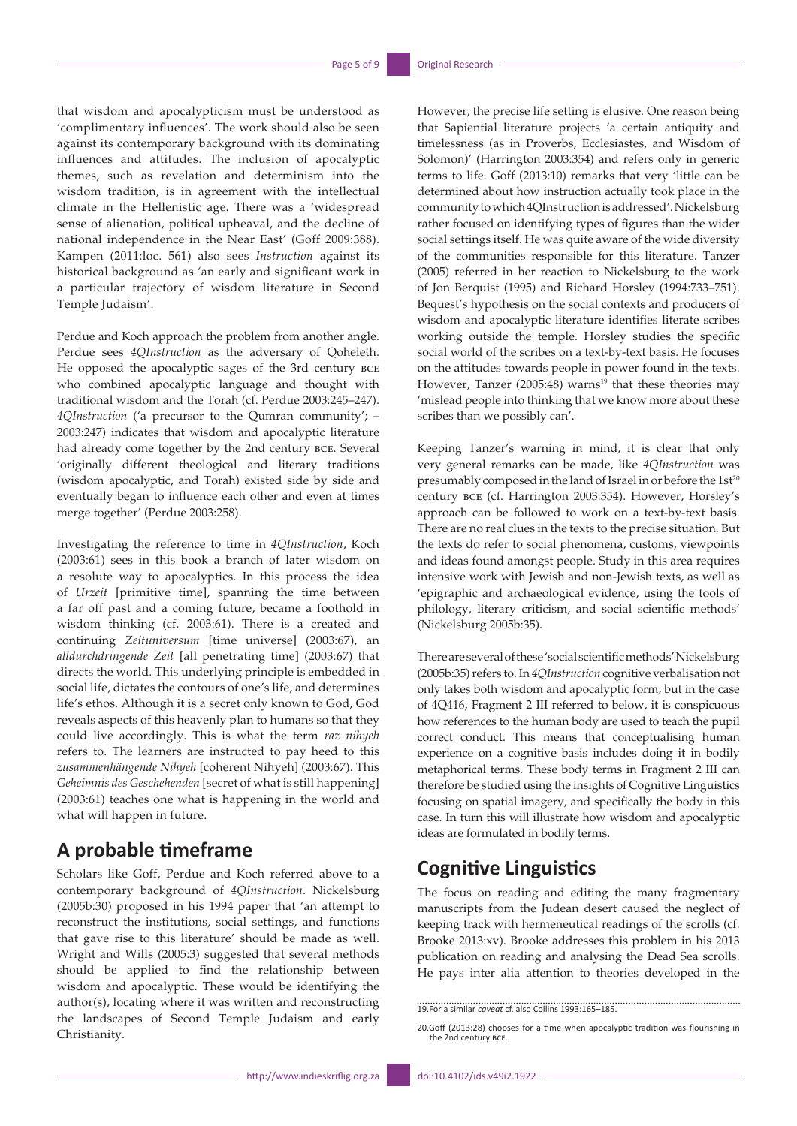that wisdom and apocalypticism must be understood as 'complimentary influences'. The work should also be seen against its contemporary background with its dominating influences and attitudes. The inclusion of apocalyptic themes, such as revelation and determinism into the wisdom tradition, is in agreement with the intellectual climate in the Hellenistic age. There was a 'widespread sense of alienation, political upheaval, and the decline of national independence in the Near East' (Goff 2009:388). Kampen (2011:loc. 561) also sees *Instruction* against its historical background as 'an early and significant work in a particular trajectory of wisdom literature in Second Temple Judaism'.

Perdue and Koch approach the problem from another angle. Perdue sees *4QInstruction* as the adversary of Qoheleth. He opposed the apocalyptic sages of the 3rd century bce who combined apocalyptic language and thought with traditional wisdom and the Torah (cf. Perdue 2003:245–247). *4QInstruction* ('a precursor to the Qumran community'; – 2003:247) indicates that wisdom and apocalyptic literature had already come together by the 2nd century bce. Several 'originally different theological and literary traditions (wisdom apocalyptic, and Torah) existed side by side and eventually began to influence each other and even at times merge together' (Perdue 2003:258).

Investigating the reference to time in *4QInstruction*, Koch (2003:61) sees in this book a branch of later wisdom on a resolute way to apocalyptics. In this process the idea of *Urzeit* [primitive time], spanning the time between a far off past and a coming future, became a foothold in wisdom thinking (cf. 2003:61). There is a created and continuing *Zeituniversum* [time universe] (2003:67), an *alldurchdringende Zeit* [all penetrating time] (2003:67) that directs the world. This underlying principle is embedded in social life, dictates the contours of one's life, and determines life's ethos. Although it is a secret only known to God, God reveals aspects of this heavenly plan to humans so that they could live accordingly. This is what the term *raz nihyeh* refers to. The learners are instructed to pay heed to this *zusammenhängende Nihyeh* [coherent Nihyeh] (2003:67). This *Geheimnis des Geschehenden* [secret of what is still happening] (2003:61) teaches one what is happening in the world and what will happen in future.

### **A probable timeframe**

Scholars like Goff, Perdue and Koch referred above to a contemporary background of *4QInstruction*. Nickelsburg (2005b:30) proposed in his 1994 paper that 'an attempt to reconstruct the institutions, social settings, and functions that gave rise to this literature' should be made as well. Wright and Wills (2005:3) suggested that several methods should be applied to find the relationship between wisdom and apocalyptic. These would be identifying the author(s), locating where it was written and reconstructing the landscapes of Second Temple Judaism and early Christianity.

However, the precise life setting is elusive. One reason being that Sapiential literature projects 'a certain antiquity and timelessness (as in Proverbs, Ecclesiastes, and Wisdom of Solomon)' (Harrington 2003:354) and refers only in generic terms to life. Goff (2013:10) remarks that very 'little can be determined about how instruction actually took place in the community to which 4QInstruction is addressed'. Nickelsburg rather focused on identifying types of figures than the wider social settings itself. He was quite aware of the wide diversity of the communities responsible for this literature. Tanzer (2005) referred in her reaction to Nickelsburg to the work of Jon Berquist (1995) and Richard Horsley (1994:733–751). Bequest's hypothesis on the social contexts and producers of wisdom and apocalyptic literature identifies literate scribes working outside the temple. Horsley studies the specific social world of the scribes on a text-by-text basis. He focuses on the attitudes towards people in power found in the texts. However, Tanzer (2005:48) warns<sup>19</sup> that these theories may 'mislead people into thinking that we know more about these scribes than we possibly can'.

Keeping Tanzer's warning in mind, it is clear that only very general remarks can be made, like *4QInstruction* was presumably composed in the land of Israel in or before the 1st<sup>20</sup> century bce (cf. Harrington 2003:354). However, Horsley's approach can be followed to work on a text-by-text basis. There are no real clues in the texts to the precise situation. But the texts do refer to social phenomena, customs, viewpoints and ideas found amongst people. Study in this area requires intensive work with Jewish and non-Jewish texts, as well as 'epigraphic and archaeological evidence, using the tools of philology, literary criticism, and social scientific methods' (Nickelsburg 2005b:35).

There are several of these 'social scientific methods' Nickelsburg (2005b:35) refers to. In *4QInstruction* cognitive verbalisation not only takes both wisdom and apocalyptic form, but in the case of 4Q416, Fragment 2 III referred to below, it is conspicuous how references to the human body are used to teach the pupil correct conduct. This means that conceptualising human experience on a cognitive basis includes doing it in bodily metaphorical terms. These body terms in Fragment 2 III can therefore be studied using the insights of Cognitive Linguistics focusing on spatial imagery, and specifically the body in this case. In turn this will illustrate how wisdom and apocalyptic ideas are formulated in bodily terms.

# **Cognitive Linguistics**

The focus on reading and editing the many fragmentary manuscripts from the Judean desert caused the neglect of keeping track with hermeneutical readings of the scrolls (cf. Brooke 2013:xv). Brooke addresses this problem in his 2013 publication on reading and analysing the Dead Sea scrolls. He pays inter alia attention to theories developed in the

<sup>19.</sup>For a similar *caveat* cf. also Collins 1993:165–185.

<sup>20.</sup>Goff (2013:28) chooses for a time when apocalyptic tradition was flourishing in the 2nd century bce.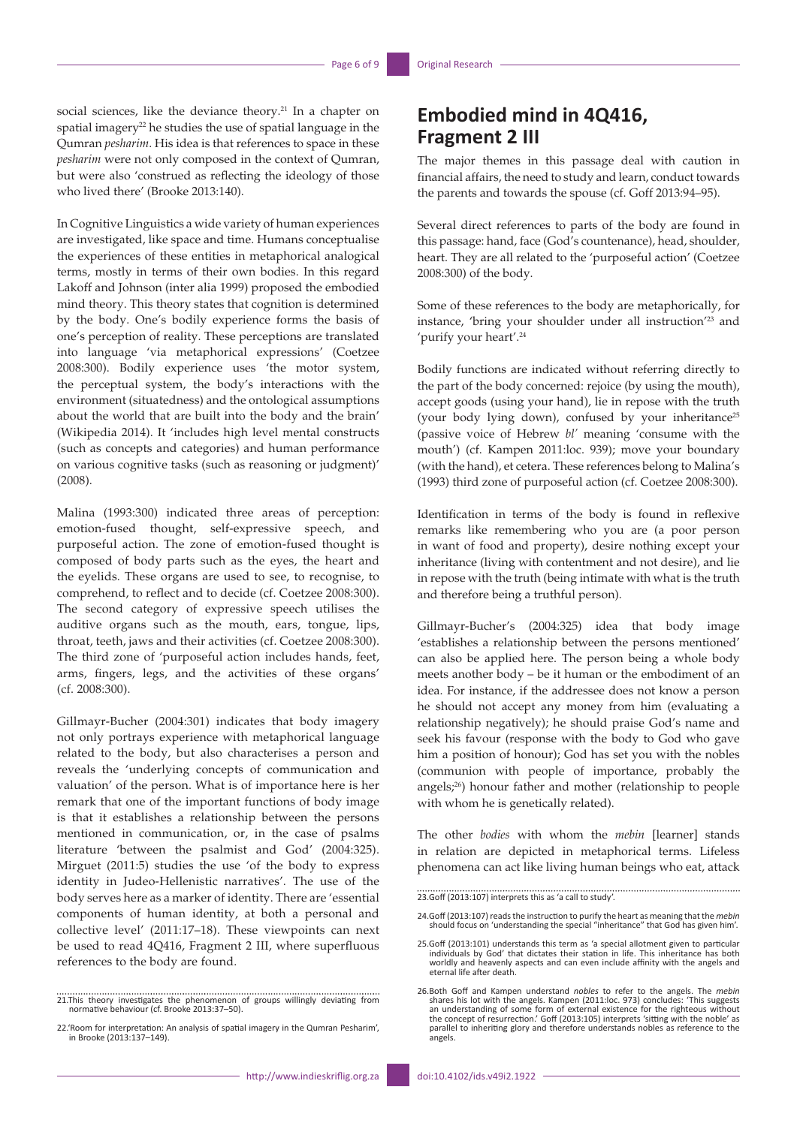social sciences, like the deviance theory.<sup>21</sup> In a chapter on spatial imagery<sup>22</sup> he studies the use of spatial language in the Qumran *pesharim*. His idea is that references to space in these *pesharim* were not only composed in the context of Qumran, but were also 'construed as reflecting the ideology of those who lived there' (Brooke 2013:140).

In Cognitive Linguistics a wide variety of human experiences are investigated, like space and time. Humans conceptualise the experiences of these entities in metaphorical analogical terms, mostly in terms of their own bodies. In this regard Lakoff and Johnson (inter alia 1999) proposed the embodied mind theory. This theory states that cognition is determined by the body. One's bodily experience forms the basis of one's perception of reality. These perceptions are translated into language 'via metaphorical expressions' (Coetzee 2008:300). Bodily experience uses 'the motor system, the perceptual system, the body's interactions with the environment (situatedness) and the ontological assumptions about the world that are built into the body and the brain' (Wikipedia 2014). It 'includes high level mental constructs (such as concepts and categories) and human performance on various cognitive tasks (such as reasoning or judgment)' (2008).

Malina (1993:300) indicated three areas of perception: emotion-fused thought, self-expressive speech, and purposeful action. The zone of emotion-fused thought is composed of body parts such as the eyes, the heart and the eyelids. These organs are used to see, to recognise, to comprehend, to reflect and to decide (cf. Coetzee 2008:300). The second category of expressive speech utilises the auditive organs such as the mouth, ears, tongue, lips, throat, teeth, jaws and their activities (cf. Coetzee 2008:300). The third zone of 'purposeful action includes hands, feet, arms, fingers, legs, and the activities of these organs' (cf. 2008:300).

Gillmayr-Bucher (2004:301) indicates that body imagery not only portrays experience with metaphorical language related to the body, but also characterises a person and reveals the 'underlying concepts of communication and valuation' of the person. What is of importance here is her remark that one of the important functions of body image is that it establishes a relationship between the persons mentioned in communication, or, in the case of psalms literature 'between the psalmist and God' (2004:325). Mirguet (2011:5) studies the use 'of the body to express identity in Judeo-Hellenistic narratives'. The use of the body serves here as a marker of identity. There are 'essential components of human identity, at both a personal and collective level' (2011:17–18). These viewpoints can next be used to read 4Q416, Fragment 2 III, where superfluous references to the body are found.

### **Embodied mind in 4Q416, Fragment 2 III**

The major themes in this passage deal with caution in financial affairs, the need to study and learn, conduct towards the parents and towards the spouse (cf. Goff 2013:94–95).

Several direct references to parts of the body are found in this passage: hand, face (God's countenance), head, shoulder, heart. They are all related to the 'purposeful action' (Coetzee 2008:300) of the body.

Some of these references to the body are metaphorically, for instance, 'bring your shoulder under all instruction'23 and 'purify your heart'.24

Bodily functions are indicated without referring directly to the part of the body concerned: rejoice (by using the mouth), accept goods (using your hand), lie in repose with the truth (your body lying down), confused by your inheritance<sup>25</sup> (passive voice of Hebrew *bl'* meaning 'consume with the mouth') (cf. Kampen 2011:loc. 939); move your boundary (with the hand), et cetera. These references belong to Malina's (1993) third zone of purposeful action (cf. Coetzee 2008:300).

Identification in terms of the body is found in reflexive remarks like remembering who you are (a poor person in want of food and property), desire nothing except your inheritance (living with contentment and not desire), and lie in repose with the truth (being intimate with what is the truth and therefore being a truthful person).

Gillmayr-Bucher's (2004:325) idea that body image 'establishes a relationship between the persons mentioned' can also be applied here. The person being a whole body meets another body – be it human or the embodiment of an idea. For instance, if the addressee does not know a person he should not accept any money from him (evaluating a relationship negatively); he should praise God's name and seek his favour (response with the body to God who gave him a position of honour); God has set you with the nobles (communion with people of importance, probably the angels;26) honour father and mother (relationship to people with whom he is genetically related).

The other *bodies* with whom the *mebin* [learner] stands in relation are depicted in metaphorical terms. Lifeless phenomena can act like living human beings who eat, attack

23.Goff (2013:107) interprets this as 'a call to study'.

<sup>21.</sup>This theory investigates the phenomenon of groups willingly deviating from normative behaviour (cf. Brooke 2013:37–50).

<sup>22.&#</sup>x27;Room for interpretation: An analysis of spatial imagery in the Qumran Pesharim', in Brooke (2013:137–149).

<sup>24.</sup>Goff (2013:107) reads the instruction to purify the heart as meaning that the *mebin* should focus on 'understanding the special "inheritance" that God has given him'.

<sup>25.</sup>Goff (2013:101) understands this term as 'a special allotment given to particular<br>individuals by God' that dictates their station in life. This inheritance has both<br>worldly and heavenly aspects and can even include affi eternal life after death.

<sup>26.</sup>Both Goff and Kampen understand *nobles* to refer to the angels. The *mebin* shares his lot with the angels. Kampen (2011:loc. 973) concludes: 'This suggests<br>an understanding of some form of external existence for the righteous without<br>the concept of resurrection.' Goff (2013:105) interprets 'sitti parallel to inheriting glory and therefore understands nobles as reference to the angels.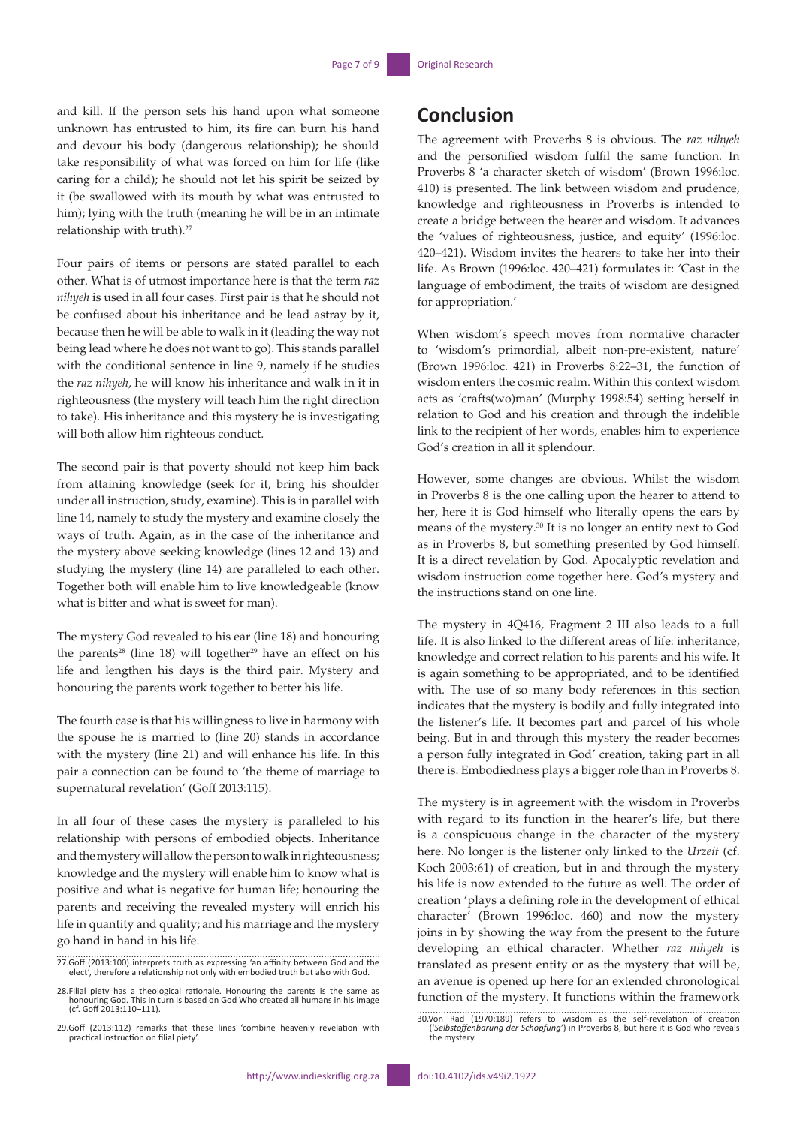and kill. If the person sets his hand upon what someone unknown has entrusted to him, its fire can burn his hand and devour his body (dangerous relationship); he should take responsibility of what was forced on him for life (like caring for a child); he should not let his spirit be seized by it (be swallowed with its mouth by what was entrusted to him); lying with the truth (meaning he will be in an intimate relationship with truth).<sup>27</sup>

Four pairs of items or persons are stated parallel to each other. What is of utmost importance here is that the term *raz nihyeh* is used in all four cases. First pair is that he should not be confused about his inheritance and be lead astray by it, because then he will be able to walk in it (leading the way not being lead where he does not want to go). This stands parallel with the conditional sentence in line 9, namely if he studies the *raz nihyeh*, he will know his inheritance and walk in it in righteousness (the mystery will teach him the right direction to take). His inheritance and this mystery he is investigating will both allow him righteous conduct.

The second pair is that poverty should not keep him back from attaining knowledge (seek for it, bring his shoulder under all instruction, study, examine). This is in parallel with line 14, namely to study the mystery and examine closely the ways of truth. Again, as in the case of the inheritance and the mystery above seeking knowledge (lines 12 and 13) and studying the mystery (line 14) are paralleled to each other. Together both will enable him to live knowledgeable (know what is bitter and what is sweet for man).

The mystery God revealed to his ear (line 18) and honouring the parents<sup>28</sup> (line 18) will together<sup>29</sup> have an effect on his life and lengthen his days is the third pair. Mystery and honouring the parents work together to better his life.

The fourth case is that his willingness to live in harmony with the spouse he is married to (line 20) stands in accordance with the mystery (line 21) and will enhance his life. In this pair a connection can be found to 'the theme of marriage to supernatural revelation' (Goff 2013:115).

In all four of these cases the mystery is paralleled to his relationship with persons of embodied objects. Inheritance and the mystery will allow the person to walk in righteousness; knowledge and the mystery will enable him to know what is positive and what is negative for human life; honouring the parents and receiving the revealed mystery will enrich his life in quantity and quality; and his marriage and the mystery go hand in hand in his life.

# **Conclusion**

The agreement with Proverbs 8 is obvious. The *raz nihyeh* and the personified wisdom fulfil the same function. In Proverbs 8 'a character sketch of wisdom' (Brown 1996:loc. 410) is presented. The link between wisdom and prudence, knowledge and righteousness in Proverbs is intended to create a bridge between the hearer and wisdom. It advances the 'values of righteousness, justice, and equity' (1996:loc. 420–421). Wisdom invites the hearers to take her into their life. As Brown (1996:loc. 420–421) formulates it: 'Cast in the language of embodiment, the traits of wisdom are designed for appropriation.'

When wisdom's speech moves from normative character to 'wisdom's primordial, albeit non-pre-existent, nature' (Brown 1996:loc. 421) in Proverbs 8:22–31, the function of wisdom enters the cosmic realm. Within this context wisdom acts as 'crafts(wo)man' (Murphy 1998:54) setting herself in relation to God and his creation and through the indelible link to the recipient of her words, enables him to experience God's creation in all it splendour.

However, some changes are obvious. Whilst the wisdom in Proverbs 8 is the one calling upon the hearer to attend to her, here it is God himself who literally opens the ears by means of the mystery.30 It is no longer an entity next to God as in Proverbs 8, but something presented by God himself. It is a direct revelation by God. Apocalyptic revelation and wisdom instruction come together here. God's mystery and the instructions stand on one line.

The mystery in 4Q416, Fragment 2 III also leads to a full life. It is also linked to the different areas of life: inheritance, knowledge and correct relation to his parents and his wife. It is again something to be appropriated, and to be identified with. The use of so many body references in this section indicates that the mystery is bodily and fully integrated into the listener's life. It becomes part and parcel of his whole being. But in and through this mystery the reader becomes a person fully integrated in God' creation, taking part in all there is. Embodiedness plays a bigger role than in Proverbs 8.

The mystery is in agreement with the wisdom in Proverbs with regard to its function in the hearer's life, but there is a conspicuous change in the character of the mystery here. No longer is the listener only linked to the *Urzeit* (cf. Koch 2003:61) of creation, but in and through the mystery his life is now extended to the future as well. The order of creation 'plays a defining role in the development of ethical character' (Brown 1996:loc. 460) and now the mystery joins in by showing the way from the present to the future developing an ethical character. Whether *raz nihyeh* is translated as present entity or as the mystery that will be, an avenue is opened up here for an extended chronological function of the mystery. It functions within the framework

<sup>27.</sup>Goff (2013:100) interprets truth as expressing 'an affinity between God and the elect', therefore a relationship not only with embodied truth but also with God.

<sup>28.</sup>Filial piety has a theological rationale. Honouring the parents is the same as honouring God. This in turn is based on God Who created all humans in his image (cf. Goff 2013:110–111).

<sup>29.</sup>Goff (2013:112) remarks that these lines 'combine heavenly revelation with practical instruction on filial piety'.

<sup>30.</sup>Von Rad (1970:189) refers to wisdom as the self-revelation of creation ('*Selbstoffenbarung der Schöpfung'*) in Proverbs 8, but here it is God who reveals the mystery.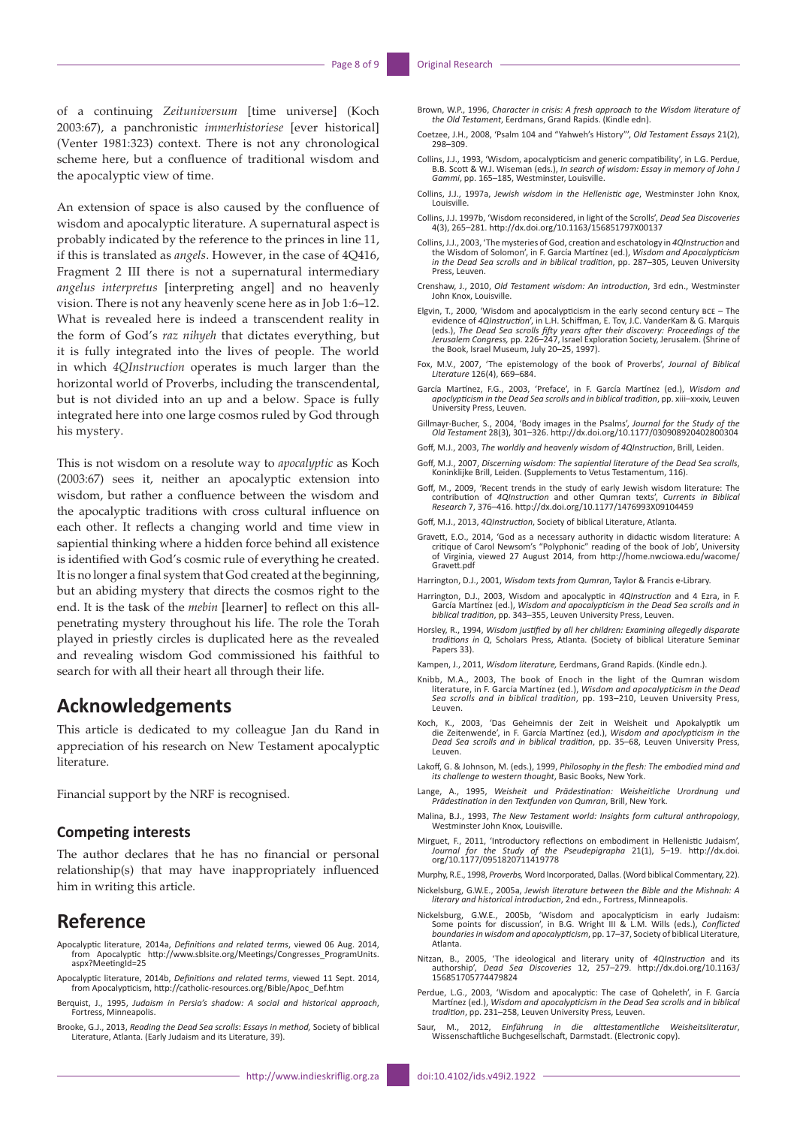of a continuing *Zeituniversum* [time universe] (Koch 2003:67), a panchronistic *immerhistoriese* [ever historical] (Venter 1981:323) context. There is not any chronological scheme here, but a confluence of traditional wisdom and the apocalyptic view of time.

An extension of space is also caused by the confluence of wisdom and apocalyptic literature. A supernatural aspect is probably indicated by the reference to the princes in line 11, if this is translated as *angels*. However, in the case of 4Q416, Fragment 2 III there is not a supernatural intermediary *angelus interpretus* [interpreting angel] and no heavenly vision. There is not any heavenly scene here as in Job 1:6–12. What is revealed here is indeed a transcendent reality in the form of God's *raz nihyeh* that dictates everything, but it is fully integrated into the lives of people. The world in which *4QInstruction* operates is much larger than the horizontal world of Proverbs, including the transcendental, but is not divided into an up and a below. Space is fully integrated here into one large cosmos ruled by God through his mystery.

This is not wisdom on a resolute way to *apocalyptic* as Koch (2003:67) sees it, neither an apocalyptic extension into wisdom, but rather a confluence between the wisdom and the apocalyptic traditions with cross cultural influence on each other. It reflects a changing world and time view in sapiential thinking where a hidden force behind all existence is identified with God's cosmic rule of everything he created. It is no longer a final system that God created at the beginning, but an abiding mystery that directs the cosmos right to the end. It is the task of the *mebin* [learner] to reflect on this allpenetrating mystery throughout his life. The role the Torah played in priestly circles is duplicated here as the revealed and revealing wisdom God commissioned his faithful to search for with all their heart all through their life.

### **Acknowledgements**

This article is dedicated to my colleague Jan du Rand in appreciation of his research on New Testament apocalyptic literature.

Financial support by the NRF is recognised.

### **Competing interests**

The author declares that he has no financial or personal relationship(s) that may have inappropriately influenced him in writing this article.

### **Reference**

- Apocalyptic literature, 2014a, *Definitions and related terms*, viewed 06 Aug. 2014, from Apocalyptic [http://www.sblsite.org/Meetings/Congresses\\_ProgramUnits.](http://www.sblsite.org/Meetings/Congresses_ProgramUnits.aspx?MeetingId=25) [aspx?MeetingId=25](http://www.sblsite.org/Meetings/Congresses_ProgramUnits.aspx?MeetingId=25)
- Apocalyptic literature, 2014b, *Definitions and related terms*, viewed 11 Sept. 2014, from Apocalypticism, [http://catholic-resources.org/Bible/Apoc\\_Def.htm](http://catholic-resources.org/Bible/Apoc_Def.htm)
- Berquist, J., 1995, *Judaism in Persia's shadow: A social and historical approach*, Fortress, Minneapolis.
- Brooke, G.J., 2013, *Reading the Dead Sea scrolls*: *Essays in method,* Society of biblical Literature, Atlanta. (Early Judaism and its Literature, 39).
- Brown, W.P., 1996, *Character in crisis: A fresh approach to the Wisdom literature of the Old Testament*, Eerdmans, Grand Rapids. (Kindle edn).
- Coetzee, J.H., 2008, 'Psalm 104 and "Yahweh's History"', *Old Testament Essays* 21(2), 298–309.
- Collins, J.J., 1993, 'Wisdom, apocalypticism and generic compatibility', in L.G. Perdue, B.B. Scott & W.J. Wiseman (eds.), *In search of wisdom: Essay in memory of John J Gammi*, pp. 165–185, Westminster, Louisville.
- Collins, J.J., 1997a, *Jewish wisdom in the Hellenistic age*, Westminster John Knox, Louisville.
- Collins, J.J. 1997b, 'Wisdom reconsidered, in light of the Scrolls', *Dead Sea Discoveries* 4(3), 265–281. <http://dx.doi.org/10.1163/156851797X00137>
- Collins, J.J., 2003, 'The mysteries of God, creation and eschatology in *4QInstruction* and the Wisdom of Solomon', in F. García Martínez (ed.), *Wisdom and Apocalypticism in the Dead Sea scrolls and in biblical tradition*, pp. 287–305, Leuven University Press, Leuven.
- Crenshaw, J., 2010, *Old Testament wisdom: An introduction*, 3rd edn., Westminster John Knox, Louisville.
- Elgvin, T., 2000, 'Wisdom and apocalypticism in the early second century BCE The evidence of 4QInstruction', in L.H. Schiffman, E. Tov, J.C. VanderKam & G. Marquis (eds.), The Dead Sea scrolls fifty years after their di
- Fox, M.V., 2007, 'The epistemology of the book of Proverbs', *Journal of Biblical Literature* 126(4), 669–684.
- García Martínez, F.G., 2003, 'Preface', in F. García Martínez (ed.), *Wisdom and apoclypticism in the Dead Sea scrolls and in biblical tradition*, pp. xiii–xxxiv, Leuven University Press, Leuven.
- Gillmayr-Bucher, S., 2004, 'Body images in the Psalms', *Journal for the Study of the Old Testament* 28(3), 301–326. <http://dx.doi.org/10.1177/030908920402800304>
- Goff, M.J., 2003, *The worldly and heavenly wisdom of 4QInstruction*, Brill, Leiden.
- Goff, M.J., 2007, *Discerning wisdom: The sapiential literature of the Dead Sea scrolls*, Koninklijke Brill, Leiden. (Supplements to Vetus Testamentum, 116).
- Goff, M., 2009, 'Recent trends in the study of early Jewish wisdom literature: The contribution of *4QInstruction* and other Qumran texts', *Currents in Biblical Research* 7, 376–416. <http://dx.doi.org/10.1177/1476993X09104459>
- Goff, M.J., 2013, *4QInstruction*, Society of biblical Literature, Atlanta.
- Gravett, E.O., 2014, 'God as a necessary authority in didactic wisdom literature: A critique of Carol Newsom's "Polyphonic" reading of the book of Job', University of Virginia, viewed 27 August 2014, from [http://home.nwciowa.edu/wacome/](http://home.nwciowa.edu/wacome/Gravett.pdf) [Gravett.pdf](http://home.nwciowa.edu/wacome/Gravett.pdf)

Harrington, D.J., 2001, *Wisdom texts from Qumran*, Taylor & Francis e-Library.

- Harrington, D.J., 2003, Wisdom and apocalyptic in *4QInstruction* and 4 Ezra, in F. García Martínez (ed.), *Wisdom and apocalypticism in the Dead Sea scrolls and in biblical tradition*, pp. 343–355, Leuven University Press, Leuven.
- Horsley, R., 1994, *Wisdom justified by all her children: Examining allegedly disparate traditions in Q*, Scholars Press, Atlanta. (Society of biblical Literature Seminar Papers 33).
- Kampen, J., 2011, *Wisdom literature,* Eerdmans, Grand Rapids. (Kindle edn.).
- Knibb, M.A., 2003, The book of Enoch in the light of the Qumran wisdom literature, in F. García Martínez (ed.), *Wisdom and apocalypticism in the Dead Sea scrolls and in biblical tradition*, pp. 193–210, Leuven University Press, Leuven.
- Koch, K., 2003, 'Das Geheimnis der Zeit in Weisheit und Apokalyptik um die Zeitenwende', in F. García Martínez (ed.), *Wisdom and apoclypticism in the Dead Sea scrolls and in biblical tradition*, pp. 35–68, Leuven University Press, Leuven.
- Lakoff, G. & Johnson, M. (eds.), 1999, *Philosophy in the flesh: The embodied mind and its challenge to western thought*, Basic Books, New York.
- Lange, A., 1995, *Weisheit und Prädestination: Weisheitliche Urordnung und Prädestination in den Textfunden von Qumran*, Brill, New York.
- Malina, B.J., 1993, *The New Testament world: Insights form cultural anthropology*, Westminster John Knox, Louisville.
- Mirguet, F., 2011, 'Introductory reflections on embodiment in Hellenistic Judaism', *Journal for the Study of the Pseudepigrapha* 21(1), 5–19. [http://dx.doi.](http://dx.doi.org/10.1177/0951820711419778) [org/10.1177/0951820711419778](http://dx.doi.org/10.1177/0951820711419778)
- Murphy, R.E., 1998, *Proverbs,* Word Incorporated, Dallas. (Word biblical Commentary, 22).
- Nickelsburg, G.W.E., 2005a, *Jewish literature between the Bible and the Mishnah: A literary and historical introduction*, 2nd edn., Fortress, Minneapolis.
- Nickelsburg, G.W.E., 2005b, 'Wisdom and apocalypticism in early Judaism: Some points for discussion', in B.G. Wright III & L.M. Wills (eds.), *Conflicted boundaries in wisdom and apocalypticism*, pp. 17–37, Society of biblical Literature, Atlanta.
- Nitzan, B., 2005, 'The ideological and literary unity of *4QInstruction* and its Sea Discoveries 12, 257–279. [http://dx.doi.org/10.1163/](http://dx.doi.org/10.1163/156851705774479824) authorship', *Dead* Sea<br>[156851705774479824](http://dx.doi.org/10.1163/156851705774479824)
- Perdue, L.G., 2003, 'Wisdom and apocalyptic: The case of Qoheleth', in F. García Martínez (ed.), *Wisdom and apocalypticism in the Dead Sea scrolls and in biblical tradition*, pp. 231–258, Leuven University Press, Leuven.
- Saur, M., 2012, *Einführung in die alttestamentliche Weisheitsliteratur*, Wissenschaftliche Buchgesellschaft, Darmstadt. (Electronic copy).